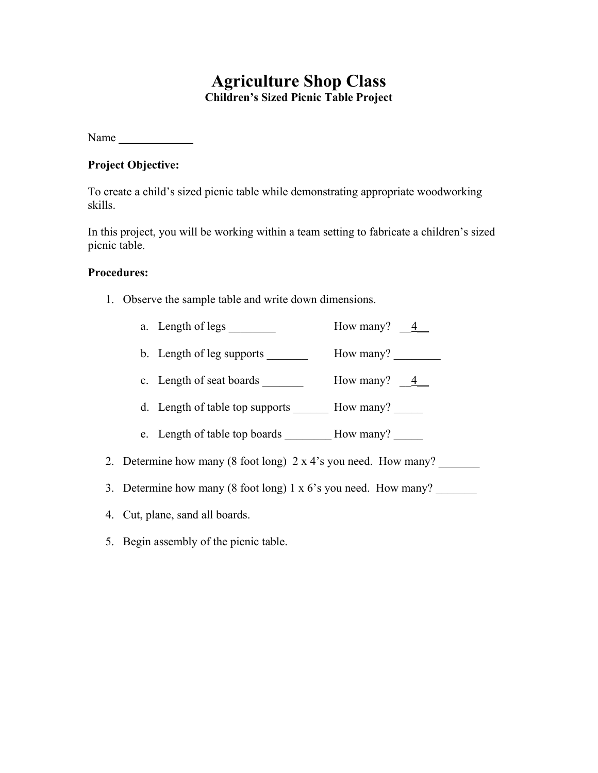# **Agriculture Shop Class Children's Sized Picnic Table Project**

Name

### **Project Objective:**

To create a child's sized picnic table while demonstrating appropriate woodworking skills.

In this project, you will be working within a team setting to fabricate a children's sized picnic table.

#### **Procedures:**

- 1. Observe the sample table and write down dimensions.
	- a. Length of legs \_\_\_\_\_\_\_\_ How many?  $\frac{4}{-4}$
	- b. Length of leg supports \_\_\_\_\_\_\_\_\_\_ How many? \_\_\_\_\_\_\_\_
	- c. Length of seat boards \_\_\_\_\_\_\_ How many?  $\frac{4}{\sqrt{2}}$
	- d. Length of table top supports How many?
	- e. Length of table top boards \_\_\_\_\_\_\_\_ How many?
- 2. Determine how many (8 foot long) 2 x 4's you need. How many?
- 3. Determine how many (8 foot long)  $1 \times 6$ 's you need. How many?
- 4. Cut, plane, sand all boards.
- 5. Begin assembly of the picnic table.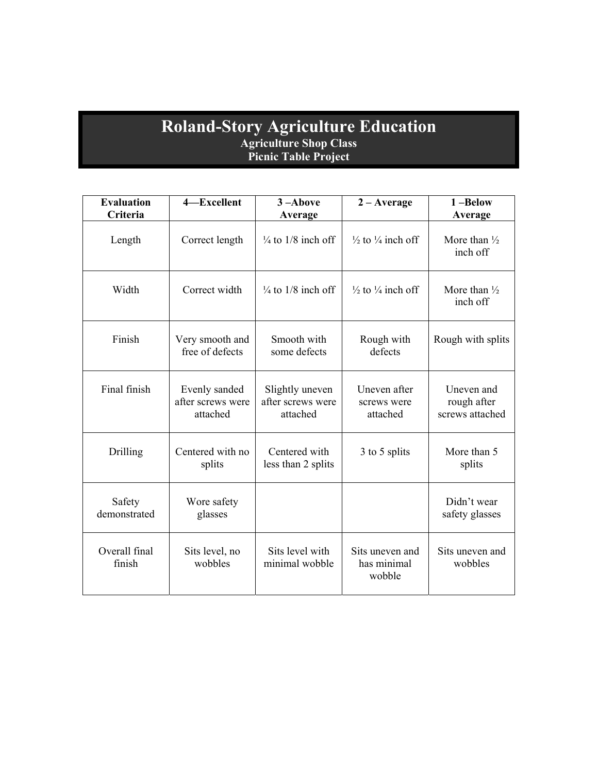### **Roland-Story Agriculture Education Agriculture Shop Class Picnic Table Project**

| <b>Evaluation</b><br>Criteria | 4-Excellent                                    | 3-Above<br>Average                               | $2 - Average$                            | 1-Below<br>Average                           |
|-------------------------------|------------------------------------------------|--------------------------------------------------|------------------------------------------|----------------------------------------------|
| Length                        | Correct length                                 | $\frac{1}{4}$ to 1/8 inch off                    | $\frac{1}{2}$ to $\frac{1}{4}$ inch off  | More than $\frac{1}{2}$<br>inch off          |
| Width                         | Correct width                                  | $\frac{1}{4}$ to 1/8 inch off                    | $\frac{1}{2}$ to $\frac{1}{4}$ inch off  | More than $\frac{1}{2}$<br>inch off          |
| Finish                        | Very smooth and<br>free of defects             | Smooth with<br>some defects                      | Rough with<br>defects                    | Rough with splits                            |
| Final finish                  | Evenly sanded<br>after screws were<br>attached | Slightly uneven<br>after screws were<br>attached | Uneven after<br>screws were<br>attached  | Uneven and<br>rough after<br>screws attached |
| Drilling                      | Centered with no<br>splits                     | Centered with<br>less than 2 splits              | 3 to 5 splits                            | More than 5<br>splits                        |
| Safety<br>demonstrated        | Wore safety<br>glasses                         |                                                  |                                          | Didn't wear<br>safety glasses                |
| Overall final<br>finish       | Sits level, no<br>wobbles                      | Sits level with<br>minimal wobble                | Sits uneven and<br>has minimal<br>wobble | Sits uneven and<br>wobbles                   |